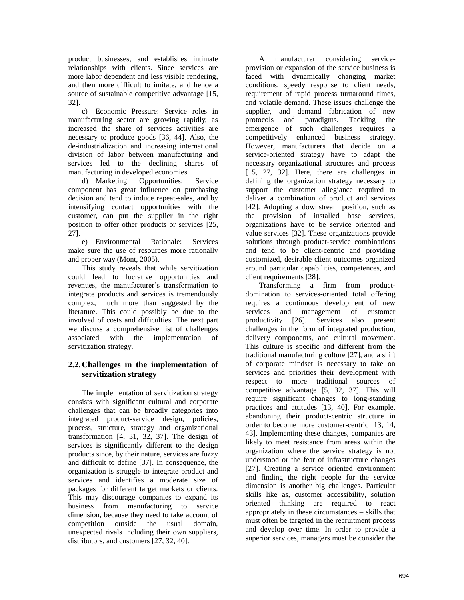product businesses, and establishes intimate relationships with clients. Since services are more labor dependent and less visible rendering, and then more difficult to imitate, and hence a source of sustainable competitive advantage [15, 32].

c) Economic Pressure: Service roles in manufacturing sector are growing rapidly, as increased the share of services activities are necessary to produce goods [36, 44]. Also, the de-industrialization and increasing international division of labor between manufacturing and services led to the declining shares of manufacturing in developed economies.

d) Marketing Opportunities: Service component has great influence on purchasing decision and tend to induce repeat-sales, and by intensifying contact opportunities with the customer, can put the supplier in the right position to offer other products or services [25, 27].

e) Environmental Rationale: Services make sure the use of resources more rationally and proper way (Mont, 2005).

This study reveals that while servitization could lead to lucrative opportunities and revenues, the manufacturer's transformation to integrate products and services is tremendously complex, much more than suggested by the literature. This could possibly be due to the involved of costs and difficulties. The next part we discuss a comprehensive list of challenges associated with the implementation of servitization strategy.

### **2.2.Challenges in the implementation of servitization strategy**

The implementation of servitization strategy consists with significant cultural and corporate challenges that can be broadly categories into integrated product-service design, policies, process, structure, strategy and organizational transformation [4, 31, 32, 37]. The design of services is significantly different to the design products since, by their nature, services are fuzzy and difficult to define [37]. In consequence, the organization is struggle to integrate product and services and identifies a moderate size of packages for different target markets or clients. This may discourage companies to expand its business from manufacturing to service dimension, because they need to take account of competition outside the usual domain, unexpected rivals including their own suppliers, distributors, and customers [27, 32, 40].

A manufacturer considering serviceprovision or expansion of the service business is faced with dynamically changing market conditions, speedy response to client needs, requirement of rapid process turnaround times, and volatile demand. These issues challenge the supplier, and demand fabrication of new protocols and paradigms. Tackling the emergence of such challenges requires a competitively enhanced business strategy. However, manufacturers that decide on a service-oriented strategy have to adapt the necessary organizational structures and process [15, 27, 32]. Here, there are challenges in defining the organization strategy necessary to support the customer allegiance required to deliver a combination of product and services [42]. Adopting a downstream position, such as the provision of installed base services, organizations have to be service oriented and value services [32]. These organizations provide solutions through product-service combinations and tend to be client-centric and providing customized, desirable client outcomes organized around particular capabilities, competences, and client requirements [28].

Transforming a firm from productdomination to services-oriented total offering requires a continuous development of new services and management of customer productivity [26]. Services also present challenges in the form of integrated production, delivery components, and cultural movement. This culture is specific and different from the traditional manufacturing culture [27], and a shift of corporate mindset is necessary to take on services and priorities their development with respect to more traditional sources of competitive advantage [5, 32, 37]. This will require significant changes to long-standing practices and attitudes [13, 40]. For example, abandoning their product-centric structure in order to become more customer-centric [13, 14, 43]. Implementing these changes, companies are likely to meet resistance from areas within the organization where the service strategy is not understood or the fear of infrastructure changes [27]. Creating a service oriented environment and finding the right people for the service dimension is another big challenges. Particular skills like as, customer accessibility, solution oriented thinking are required to react appropriately in these circumstances – skills that must often be targeted in the recruitment process and develop over time. In order to provide a superior services, managers must be consider the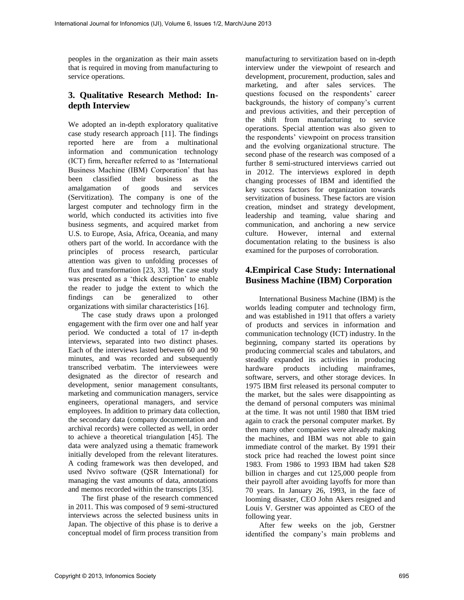peoples in the organization as their main assets that is required in moving from manufacturing to service operations.

## **3. Qualitative Research Method: Indepth Interview**

We adopted an in-depth exploratory qualitative case study research approach [11]. The findings reported here are from a multinational information and communication technology (ICT) firm, hereafter referred to as 'International Business Machine (IBM) Corporation' that has been classified their business as the amalgamation of goods and services (Servitization). The company is one of the largest computer and technology firm in the world, which conducted its activities into five business segments, and acquired market from U.S. to Europe, Asia, Africa, Oceania, and many others part of the world. In accordance with the principles of process research, particular attention was given to unfolding processes of flux and transformation [23, 33]. The case study was presented as a 'thick description' to enable the reader to judge the extent to which the findings can be generalized to other organizations with similar characteristics [16].

The case study draws upon a prolonged engagement with the firm over one and half year period. We conducted a total of 17 in-depth interviews, separated into two distinct phases. Each of the interviews lasted between 60 and 90 minutes, and was recorded and subsequently transcribed verbatim. The interviewees were designated as the director of research and development, senior management consultants, marketing and communication managers, service engineers, operational managers, and service employees. In addition to primary data collection, the secondary data (company documentation and archival records) were collected as well, in order to achieve a theoretical triangulation [45]. The data were analyzed using a thematic framework initially developed from the relevant literatures. A coding framework was then developed, and used Nvivo software (QSR International) for managing the vast amounts of data, annotations and memos recorded within the transcripts [35].

The first phase of the research commenced in 2011. This was composed of 9 semi-structured interviews across the selected business units in Japan. The objective of this phase is to derive a conceptual model of firm process transition from manufacturing to servitization based on in-depth interview under the viewpoint of research and development, procurement, production, sales and marketing, and after sales services. The questions focused on the respondents' career backgrounds, the history of company's current and previous activities, and their perception of the shift from manufacturing to service operations. Special attention was also given to the respondents' viewpoint on process transition and the evolving organizational structure. The second phase of the research was composed of a further 8 semi-structured interviews carried out in 2012. The interviews explored in depth changing processes of IBM and identified the key success factors for organization towards servitization of business. These factors are vision creation, mindset and strategy development, leadership and teaming, value sharing and communication, and anchoring a new service culture. However, internal and external documentation relating to the business is also examined for the purposes of corroboration.

# **4.Empirical Case Study: International Business Machine (IBM) Corporation**

International Business Machine (IBM) is the worlds leading computer and technology firm, and was established in 1911 that offers a variety of products and services in information and communication technology (ICT) industry. In the beginning, company started its operations by producing commercial scales and tabulators, and steadily expanded its activities in producing hardware products including mainframes, software, servers, and other storage devices. In 1975 IBM first released its personal computer to the market, but the sales were disappointing as the demand of personal computers was minimal at the time. It was not until 1980 that IBM tried again to crack the personal computer market. By then many other companies were already making the machines, and IBM was not able to gain immediate control of the market. By 1991 their stock price had reached the lowest point since 1983. From 1986 to 1993 IBM had taken \$28 billion in charges and cut 125,000 people from their payroll after avoiding layoffs for more than 70 years. In January 26, 1993, in the face of looming disaster, CEO John Akers resigned and Louis V. Gerstner was appointed as CEO of the following year.

After few weeks on the job, Gerstner identified the company's main problems and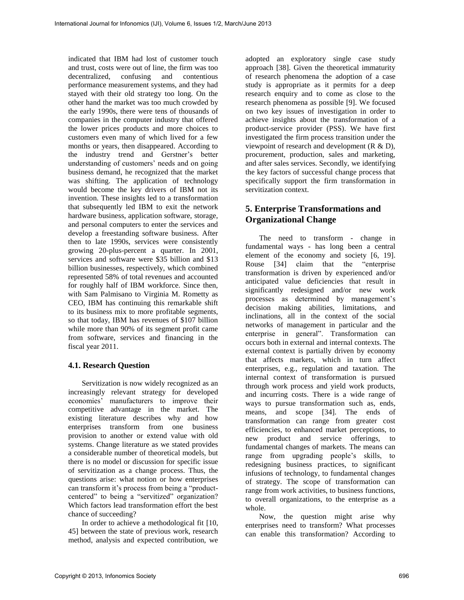indicated that IBM had lost of customer touch and trust, costs were out of line, the firm was too decentralized, confusing and contentious performance measurement systems, and they had stayed with their old strategy too long. On the other hand the market was too much crowded by the early 1990s, there were tens of thousands of companies in the computer industry that offered the lower prices products and more choices to customers even many of which lived for a few months or years, then disappeared. According to the industry trend and Gerstner's better understanding of customers' needs and on going business demand, he recognized that the market was shifting. The application of technology would become the key drivers of IBM not its invention. These insights led to a transformation that subsequently led IBM to exit the network hardware business, application software, storage, and personal computers to enter the services and develop a freestanding software business. After then to late 1990s, services were consistently growing 20-plus-percent a quarter. In 2001, services and software were \$35 billion and \$13 billion businesses, respectively, which combined represented 58% of total revenues and accounted for roughly half of IBM workforce. Since then, with Sam Palmisano to Virginia M. Rometty as CEO, IBM has continuing this remarkable shift to its business mix to more profitable segments, so that today, IBM has revenues of \$107 billion while more than 90% of its segment profit came from software, services and financing in the fiscal year 2011.

#### **4.1. Research Question**

Servitization is now widely recognized as an increasingly relevant strategy for developed economies' manufacturers to improve their competitive advantage in the market. The existing literature describes why and how enterprises transform from one business provision to another or extend value with old systems. Change literature as we stated provides a considerable number of theoretical models, but there is no model or discussion for specific issue of servitization as a change process. Thus, the questions arise: what notion or how enterprises can transform it's process from being a "productcentered" to being a "servitized" organization? Which factors lead transformation effort the best chance of succeeding?

In order to achieve a methodological fit [10, 45] between the state of previous work, research method, analysis and expected contribution, we

adopted an exploratory single case study approach [38]. Given the theoretical immaturity of research phenomena the adoption of a case study is appropriate as it permits for a deep research enquiry and to come as close to the research phenomena as possible [9]. We focused on two key issues of investigation in order to achieve insights about the transformation of a product-service provider (PSS). We have first investigated the firm process transition under the viewpoint of research and development (R & D), procurement, production, sales and marketing, and after sales services. Secondly, we identifying the key factors of successful change process that specifically support the firm transformation in servitization context.

# **5. Enterprise Transformations and Organizational Change**

The need to transform - change in fundamental ways - has long been a central element of the economy and society [6, 19]. Rouse [34] claim that the "enterprise transformation is driven by experienced and/or anticipated value deficiencies that result in significantly redesigned and/or new work processes as determined by management's decision making abilities, limitations, and inclinations, all in the context of the social networks of management in particular and the enterprise in general". Transformation can occurs both in external and internal contexts. The external context is partially driven by economy that affects markets, which in turn affect enterprises, e.g., regulation and taxation. The internal context of transformation is pursued through work process and yield work products, and incurring costs. There is a wide range of ways to pursue transformation such as, ends, means, and scope [34]. The ends of transformation can range from greater cost efficiencies, to enhanced market perceptions, to new product and service offerings, to fundamental changes of markets. The means can range from upgrading people's skills, to redesigning business practices, to significant infusions of technology, to fundamental changes of strategy. The scope of transformation can range from work activities, to business functions, to overall organizations, to the enterprise as a whole.

Now, the question might arise why enterprises need to transform? What processes can enable this transformation? According to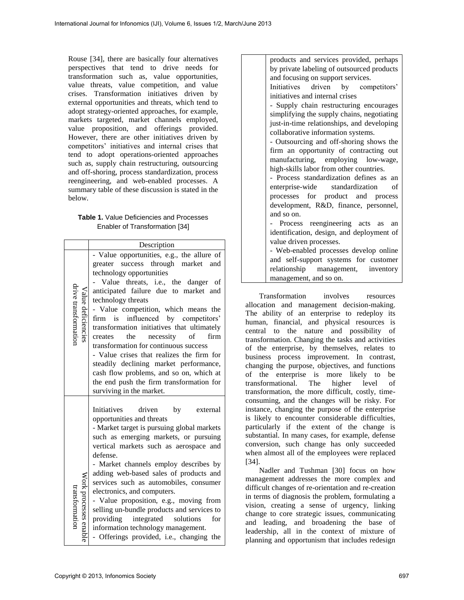Rouse [34], there are basically four alternatives perspectives that tend to drive needs for transformation such as, value opportunities, value threats, value competition, and value crises. Transformation initiatives driven by external opportunities and threats, which tend to adopt strategy-oriented approaches, for example, markets targeted, market channels employed, value proposition, and offerings provided. However, there are other initiatives driven by competitors' initiatives and internal crises that tend to adopt operations-oriented approaches such as, supply chain restructuring, outsourcing and off-shoring, process standardization, process reengineering, and web-enabled processes. A summary table of these discussion is stated in the below.

#### **Table 1.** Value Deficiencies and Processes Enabler of Transformation [34]

|                                            | Description                                                                                                                                                                                                                                                                                                                                                                                                                                                                                                                                                                                                                                             |  |  |
|--------------------------------------------|---------------------------------------------------------------------------------------------------------------------------------------------------------------------------------------------------------------------------------------------------------------------------------------------------------------------------------------------------------------------------------------------------------------------------------------------------------------------------------------------------------------------------------------------------------------------------------------------------------------------------------------------------------|--|--|
| drive transformation<br>/alue deficiencies | - Value opportunities, e.g., the allure of<br>greater success through market<br>and<br>technology opportunities<br>- Value threats, i.e., the danger of<br>anticipated failure due to market and<br>technology threats<br>- Value competition, which means the<br>influenced by competitors'<br>firm is<br>transformation initiatives that ultimately<br>creates the necessity<br>firm<br>$\sigma$ f<br>transformation for continuous success<br>- Value crises that realizes the firm for<br>steadily declining market performance,<br>cash flow problems, and so on, which at<br>the end push the firm transformation for<br>surviving in the market. |  |  |
| Nork processes enable<br>ransformation     | Initiatives<br>driven<br>by<br>external<br>opportunities and threats<br>- Market target is pursuing global markets<br>such as emerging markets, or pursuing<br>vertical markets such as aerospace and<br>defense.<br>- Market channels employ describes by<br>adding web-based sales of products and<br>services such as automobiles, consumer<br>electronics, and computers.<br>- Value proposition, e.g., moving from<br>selling un-bundle products and services to<br>providing<br>integrated solutions<br>for<br>information technology management.<br>- Offerings provided, i.e., changing<br>the                                                  |  |  |

products and services provided, perhaps by private labeling of outsourced products and focusing on support services.

Initiatives driven by competitors' initiatives and internal crises

- Supply chain restructuring encourages simplifying the supply chains, negotiating just-in-time relationships, and developing collaborative information systems.

- Outsourcing and off-shoring shows the firm an opportunity of contracting out manufacturing, employing low-wage, high-skills labor from other countries.

- Process standardization defines as an enterprise-wide standardization of processes for product and process development, R&D, finance, personnel, and so on.

- Process reengineering acts as an identification, design, and deployment of value driven processes.

- Web-enabled processes develop online and self-support systems for customer relationship management, inventory management, and so on.

Transformation involves resources allocation and management decision-making. The ability of an enterprise to redeploy its human, financial, and physical resources is central to the nature and possibility of transformation. Changing the tasks and activities of the enterprise, by themselves, relates to business process improvement. In contrast, changing the purpose, objectives, and functions of the enterprise is more likely to be transformational. The higher level of transformation, the more difficult, costly, timeconsuming, and the changes will be risky. For instance, changing the purpose of the enterprise is likely to encounter considerable difficulties, particularly if the extent of the change is substantial. In many cases, for example, defense conversion, such change has only succeeded when almost all of the employees were replaced [34].

Nadler and Tushman [30] focus on how management addresses the more complex and difficult changes of re-orientation and re-creation in terms of diagnosis the problem, formulating a vision, creating a sense of urgency, linking change to core strategic issues, communicating and leading, and broadening the base of leadership, all in the context of mixture of planning and opportunism that includes redesign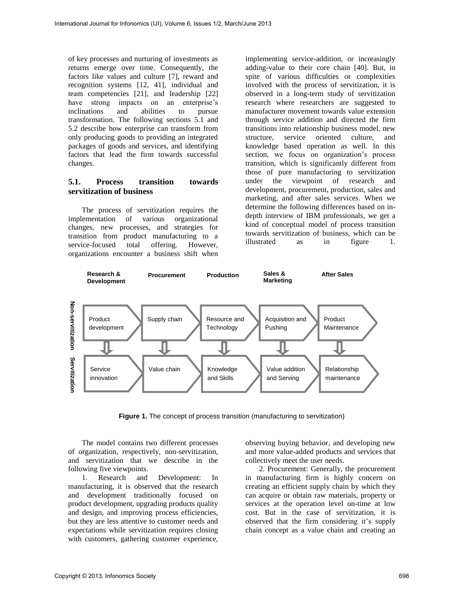of key processes and nurturing of investments as returns emerge over time. Consequently, the factors like values and culture [7], reward and recognition systems [12, 41], individual and team competencies [21], and leadership [22] have strong impacts on an enterprise's inclinations and abilities to pursue transformation. The following sections 5.1 and 5.2 describe how enterprise can transform from only producing goods to providing an integrated packages of goods and services, and identifying factors that lead the firm towards successful changes.

### **5.1. Process transition towards servitization of business**

The process of servitization requires the implementation of various organizational changes, new processes, and strategies for transition from product manufacturing to a service-focused total offering. However, organizations encounter a business shift when

implementing service-addition, or increasingly adding-value to their core chain [40]. But, in spite of various difficulties or complexities involved with the process of servitization, it is observed in a long-term study of servitization research where researchers are suggested to manufacturer movement towards value extension through service addition and directed the firm transitions into relationship business model, new structure, service oriented culture, and knowledge based operation as well. In this section, we focus on organization's process transition, which is significantly different from those of pure manufacturing to servitization under the viewpoint of research and development, procurement, production, sales and marketing, and after sales services. When we determine the following differences based on indepth interview of IBM professionals, we get a kind of conceptual model of process transition towards servitization of business, which can be illustrated as in figure 1.



**Figure 1.** The concept of process transition (manufacturing to servitization)

The model contains two different processes of organization, respectively, non-servitization, and servitization that we describe in the following five viewpoints.

1. Research and Development: In manufacturing, it is observed that the research and development traditionally focused on product development, upgrading products quality and design, and improving process efficiencies, but they are less attentive to customer needs and expectations while servitization requires closing with customers, gathering customer experience, observing buying behavior, and developing new and more value-added products and services that collectively meet the user needs.

2. Procurement: Generally, the procurement in manufacturing firm is highly concern on creating an efficient supply chain by which they can acquire or obtain raw materials, property or services at the operation level on-time at low cost. But in the case of servitization, it is observed that the firm considering it's supply chain concept as a value chain and creating an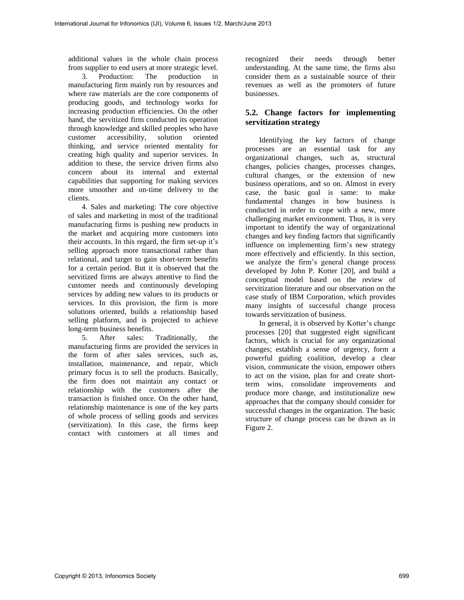additional values in the whole chain process from supplier to end users at more strategic level.

3. Production: The production in manufacturing firm mainly run by resources and where raw materials are the core components of producing goods, and technology works for increasing production efficiencies. On the other hand, the servitized firm conducted its operation through knowledge and skilled peoples who have<br>customer accessibility, solution oriented customer accessibility, solution oriented thinking, and service oriented mentality for creating high quality and superior services. In addition to these, the service driven firms also concern about its internal and external capabilities that supporting for making services more smoother and on-time delivery to the clients.

4. Sales and marketing: The core objective of sales and marketing in most of the traditional manufacturing firms is pushing new products in the market and acquiring more customers into their accounts. In this regard, the firm set-up it's selling approach more transactional rather than relational, and target to gain short-term benefits for a certain period. But it is observed that the servitized firms are always attentive to find the customer needs and continuously developing services by adding new values to its products or services. In this provision, the firm is more solutions oriented, builds a relationship based selling platform, and is projected to achieve long-term business benefits.

5. After sales: Traditionally, the manufacturing firms are provided the services in the form of after sales services, such as, installation, maintenance, and repair, which primary focus is to sell the products. Basically, the firm does not maintain any contact or relationship with the customers after the transaction is finished once. On the other hand, relationship maintenance is one of the key parts of whole process of selling goods and services (servitization). In this case, the firms keep contact with customers at all times and

recognized their needs through better understanding. At the same time, the firms also consider them as a sustainable source of their revenues as well as the promoters of future businesses.

## **5.2. Change factors for implementing servitization strategy**

Identifying the key factors of change processes are an essential task for any organizational changes, such as, structural changes, policies changes, processes changes, cultural changes, or the extension of new business operations, and so on. Almost in every case, the basic goal is same: to make fundamental changes in how business is conducted in order to cope with a new, more challenging market environment. Thus, it is very important to identify the way of organizational changes and key finding factors that significantly influence on implementing firm's new strategy more effectively and efficiently. In this section, we analyze the firm's general change process developed by John P. Kotter [20], and build a conceptual model based on the review of servitization literature and our observation on the case study of IBM Corporation, which provides many insights of successful change process towards servitization of business.

In general, it is observed by Kotter's change processes [20] that suggested eight significant factors, which is crucial for any organizational changes; establish a sense of urgency, form a powerful guiding coalition, develop a clear vision, communicate the vision, empower others to act on the vision, plan for and create shortterm wins, consolidate improvements and produce more change, and institutionalize new approaches that the company should consider for successful changes in the organization. The basic structure of change process can be drawn as in Figure 2.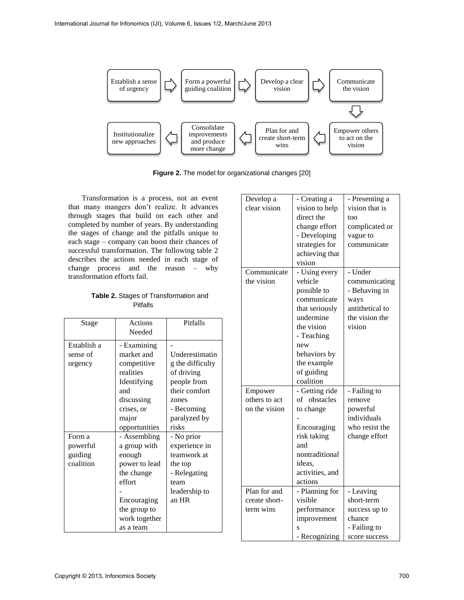

**Figure 2.** The model for organizational changes [20]

Transformation is a process, not an event that many mangers don't realize. It advances through stages that build on each other and completed by number of years. By understanding the stages of change and the pitfalls unique to each stage – company can boost their chances of successful transformation. The following table 2 describes the actions needed in each stage of change process and the reason – why transformation efforts fail.

**Table 2.** Stages of Transformation and **Pitfalls** 

| Stage                                      | Actions<br>Needed                                                                                                                                             | Pitfalls                                                                                                                |
|--------------------------------------------|---------------------------------------------------------------------------------------------------------------------------------------------------------------|-------------------------------------------------------------------------------------------------------------------------|
| Establish a<br>sense of<br>urgency         | - Examining<br>market and<br>competitive<br>realities<br>Identifying<br>and<br>discussing<br>crises, or<br>major                                              | Underestimatin<br>g the difficulty<br>of driving<br>people from<br>their comfort<br>zones<br>- Becoming<br>paralyzed by |
| Form a<br>powerful<br>guiding<br>coalition | opportunities<br>- Assembling<br>a group with<br>enough<br>power to lead<br>the change<br>effort<br>Encouraging<br>the group to<br>work together<br>as a team | risks<br>- No prior<br>experience in<br>teamwork at<br>the top<br>- Relegating<br>team<br>leadership to<br>an HR        |

| Develop a     | - Creating a    | - Presenting a  |
|---------------|-----------------|-----------------|
| clear vision  | vision to help  | vision that is  |
|               | direct the      | too             |
|               | change effort   | complicated or  |
|               | - Developing    | vague to        |
|               | strategies for  | communicate     |
|               | achieving that  |                 |
|               | vision          |                 |
| Communicate   | - Using every   | - Under         |
| the vision    | vehicle         | communicating   |
|               | possible to     | - Behaving in   |
|               | communicate     | ways            |
|               | that seriously  | antithetical to |
|               | undermine       | the vision the  |
|               | the vision      | vision          |
|               | - Teaching      |                 |
|               | new             |                 |
|               |                 |                 |
|               | behaviors by    |                 |
|               | the example     |                 |
|               | of guiding      |                 |
|               | coalition       |                 |
| Empower       | - Getting ride  | - Failing to    |
| others to act | of obstacles    | remove          |
| on the vision | to change       | powerful        |
|               |                 | individuals     |
|               | Encouraging     | who resist the  |
|               | risk taking     | change effort   |
|               | and             |                 |
|               | nontraditional  |                 |
|               | ideas.          |                 |
|               | activities, and |                 |
|               | actions         |                 |
| Plan for and  | - Planning for  | - Leaving       |
| create short- | visible         | short-term      |
| term wins     | performance     | success up to   |
|               | improvement     | chance          |
|               | S               | - Failing to    |
|               | - Recognizing   | score success   |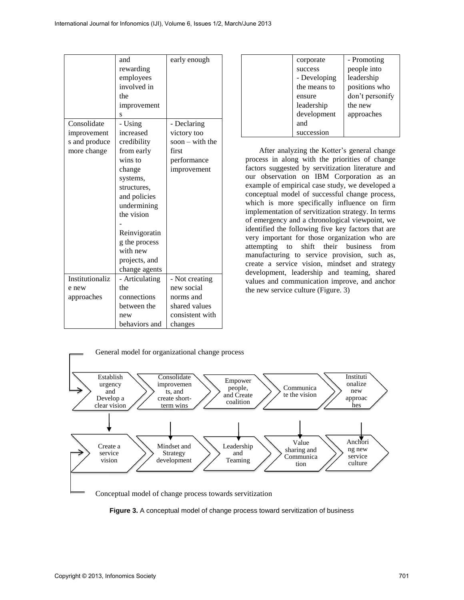|                 | and            | early enough      |
|-----------------|----------------|-------------------|
|                 | rewarding      |                   |
|                 | employees      |                   |
|                 | involved in    |                   |
|                 | the            |                   |
|                 | improvement    |                   |
|                 | S              |                   |
| Consolidate     | - Using        | - Declaring       |
| improvement     | increased      | victory too       |
| s and produce   | credibility    | soon $-$ with the |
| more change     | from early     | first             |
|                 | wins to        | performance       |
|                 | change         | improvement       |
|                 | systems,       |                   |
|                 | structures,    |                   |
|                 | and policies   |                   |
|                 | undermining    |                   |
|                 | the vision     |                   |
|                 |                |                   |
|                 |                |                   |
|                 | Reinvigoratin  |                   |
|                 | g the process  |                   |
|                 | with new       |                   |
|                 | projects, and  |                   |
|                 | change agents  |                   |
| Institutionaliz | - Articulating | - Not creating    |
| e new           | the            | new social        |
| approaches      | connections    | norms and         |
|                 | between the    | shared values     |
|                 | new            | consistent with   |
|                 | behaviors and  | changes           |

| corporate    | - Promoting     |
|--------------|-----------------|
| success      | people into     |
| - Developing | leadership      |
| the means to | positions who   |
| ensure       | don't personify |
| leadership   | the new         |
| development  | approaches      |
| and          |                 |
| succession   |                 |
|              |                 |

After analyzing the Kotter's general change process in along with the priorities of change factors suggested by servitization literature and our observation on IBM Corporation as an example of empirical case study, we developed a conceptual model of successful change process, which is more specifically influence on firm implementation of servitization strategy. In terms of emergency and a chronological viewpoint, we identified the following five key factors that are very important for those organization who are attempting to shift their business from manufacturing to service provision, such as, create a service vision, mindset and strategy development, leadership and teaming, shared values and communication improve, and anchor the new service culture (Figure. 3)



**Figure 3.** A conceptual model of change process toward servitization of business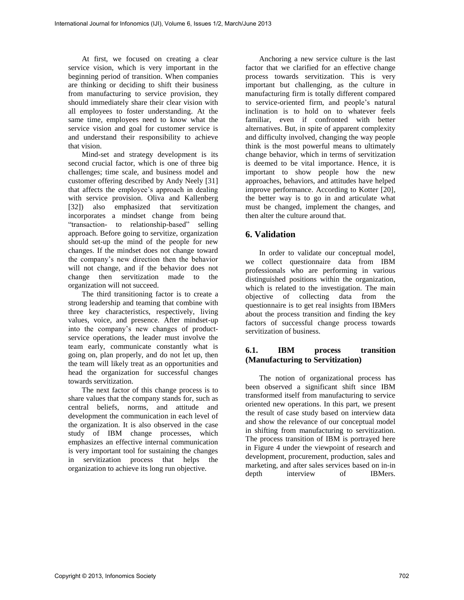At first, we focused on creating a clear service vision, which is very important in the beginning period of transition. When companies are thinking or deciding to shift their business from manufacturing to service provision, they should immediately share their clear vision with all employees to foster understanding. At the same time, employees need to know what the service vision and goal for customer service is and understand their responsibility to achieve that vision.

Mind-set and strategy development is its second crucial factor, which is one of three big challenges; time scale, and business model and customer offering described by Andy Neely [31] that affects the employee's approach in dealing with service provision. Oliva and Kallenberg [32]) also emphasized that servitization incorporates a mindset change from being "transaction- to relationship-based" selling approach. Before going to servitize, organization should set-up the mind of the people for new changes. If the mindset does not change toward the company's new direction then the behavior will not change, and if the behavior does not change then servitization made to the organization will not succeed.

The third transitioning factor is to create a strong leadership and teaming that combine with three key characteristics, respectively, living values, voice, and presence. After mindset-up into the company's new changes of productservice operations, the leader must involve the team early, communicate constantly what is going on, plan properly, and do not let up, then the team will likely treat as an opportunities and head the organization for successful changes towards servitization.

The next factor of this change process is to share values that the company stands for, such as central beliefs, norms, and attitude and development the communication in each level of the organization. It is also observed in the case study of IBM change processes, which emphasizes an effective internal communication is very important tool for sustaining the changes in servitization process that helps the organization to achieve its long run objective.

Anchoring a new service culture is the last factor that we clarified for an effective change process towards servitization. This is very important but challenging, as the culture in manufacturing firm is totally different compared to service-oriented firm, and people's natural inclination is to hold on to whatever feels familiar, even if confronted with better alternatives. But, in spite of apparent complexity and difficulty involved, changing the way people think is the most powerful means to ultimately change behavior, which in terms of servitization is deemed to be vital importance. Hence, it is important to show people how the new approaches, behaviors, and attitudes have helped improve performance. According to Kotter [20], the better way is to go in and articulate what must be changed, implement the changes, and then alter the culture around that.

### **6. Validation**

In order to validate our conceptual model, we collect questionnaire data from IBM professionals who are performing in various distinguished positions within the organization, which is related to the investigation. The main objective of collecting data from the questionnaire is to get real insights from IBMers about the process transition and finding the key factors of successful change process towards servitization of business.

### **6.1. IBM process transition (Manufacturing to Servitization)**

The notion of organizational process has been observed a significant shift since IBM transformed itself from manufacturing to service oriented new operations. In this part, we present the result of case study based on interview data and show the relevance of our conceptual model in shifting from manufacturing to servitization. The process transition of IBM is portrayed here in Figure 4 under the viewpoint of research and development, procurement, production, sales and marketing, and after sales services based on in-in depth interview of IBMers.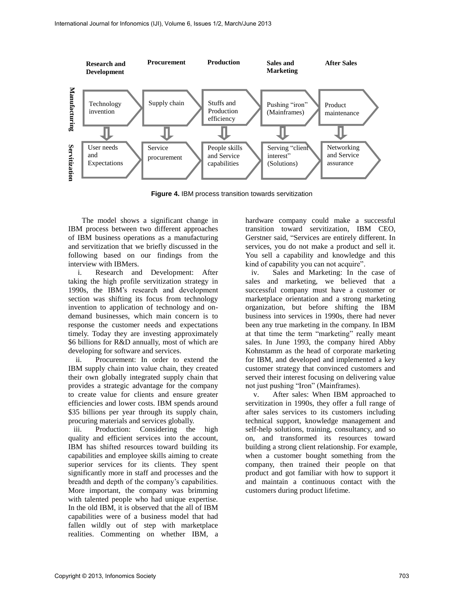

**Figure 4.** IBM process transition towards servitization

The model shows a significant change in IBM process between two different approaches of IBM business operations as a manufacturing and servitization that we briefly discussed in the following based on our findings from the interview with IBMers.

i. Research and Development: After taking the high profile servitization strategy in 1990s, the IBM's research and development section was shifting its focus from technology invention to application of technology and ondemand businesses, which main concern is to response the customer needs and expectations timely. Today they are investing approximately \$6 billions for R&D annually, most of which are developing for software and services.

ii. Procurement: In order to extend the IBM supply chain into value chain, they created their own globally integrated supply chain that provides a strategic advantage for the company to create value for clients and ensure greater efficiencies and lower costs. IBM spends around \$35 billions per year through its supply chain, procuring materials and services globally.

iii. Production: Considering the high quality and efficient services into the account, IBM has shifted resources toward building its capabilities and employee skills aiming to create superior services for its clients. They spent significantly more in staff and processes and the breadth and depth of the company's capabilities. More important, the company was brimming with talented people who had unique expertise. In the old IBM, it is observed that the all of IBM capabilities were of a business model that had fallen wildly out of step with marketplace realities. Commenting on whether IBM, a hardware company could make a successful transition toward servitization, IBM CEO, Gerstner said, "Services are entirely different. In services, you do not make a product and sell it. You sell a capability and knowledge and this kind of capability you can not acquire".

iv. Sales and Marketing: In the case of sales and marketing, we believed that a successful company must have a customer or marketplace orientation and a strong marketing organization, but before shifting the IBM business into services in 1990s, there had never been any true marketing in the company. In IBM at that time the term "marketing" really meant sales. In June 1993, the company hired Abby Kohnstamm as the head of corporate marketing for IBM, and developed and implemented a key customer strategy that convinced customers and served their interest focusing on delivering value not just pushing "Iron" (Mainframes).

v. After sales: When IBM approached to servitization in 1990s, they offer a full range of after sales services to its customers including technical support, knowledge management and self-help solutions, training, consultancy, and so on, and transformed its resources toward building a strong client relationship. For example, when a customer bought something from the company, then trained their people on that product and got familiar with how to support it and maintain a continuous contact with the customers during product lifetime.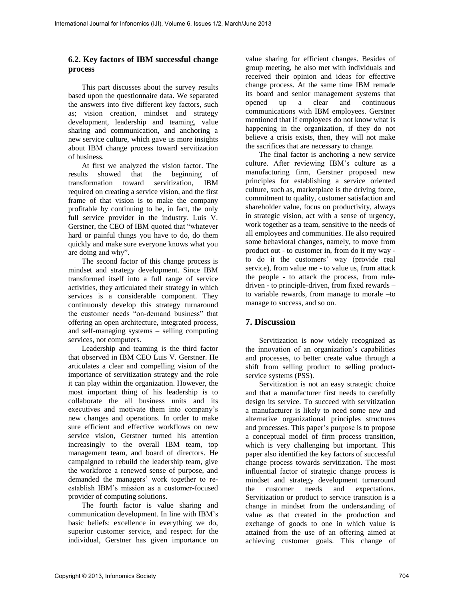#### **6.2. Key factors of IBM successful change process**

This part discusses about the survey results based upon the questionnaire data. We separated the answers into five different key factors, such as; vision creation, mindset and strategy development, leadership and teaming, value sharing and communication, and anchoring a new service culture, which gave us more insights about IBM change process toward servitization of business.

At first we analyzed the vision factor. The results showed that the beginning of transformation toward servitization, IBM required on creating a service vision, and the first frame of that vision is to make the company profitable by continuing to be, in fact, the only full service provider in the industry. Luis V. Gerstner, the CEO of IBM quoted that "whatever hard or painful things you have to do, do them quickly and make sure everyone knows what you are doing and why".

The second factor of this change process is mindset and strategy development. Since IBM transformed itself into a full range of service activities, they articulated their strategy in which services is a considerable component. They continuously develop this strategy turnaround the customer needs "on-demand business" that offering an open architecture, integrated process, and self-managing systems – selling computing services, not computers.

Leadership and teaming is the third factor that observed in IBM CEO Luis V. Gerstner. He articulates a clear and compelling vision of the importance of servitization strategy and the role it can play within the organization. However, the most important thing of his leadership is to collaborate the all business units and its executives and motivate them into company's new changes and operations. In order to make sure efficient and effective workflows on new service vision, Gerstner turned his attention increasingly to the overall IBM team, top management team, and board of directors. He campaigned to rebuild the leadership team, give the workforce a renewed sense of purpose, and demanded the managers' work together to reestablish IBM's mission as a customer-focused provider of computing solutions.

The fourth factor is value sharing and communication development. In line with IBM's basic beliefs: excellence in everything we do, superior customer service, and respect for the individual, Gerstner has given importance on

value sharing for efficient changes. Besides of group meeting, he also met with individuals and received their opinion and ideas for effective change process. At the same time IBM remade its board and senior management systems that opened up a clear and continuous communications with IBM employees. Gerstner mentioned that if employees do not know what is happening in the organization, if they do not believe a crisis exists, then, they will not make the sacrifices that are necessary to change.

The final factor is anchoring a new service culture. After reviewing IBM's culture as a manufacturing firm, Gerstner proposed new principles for establishing a service oriented culture, such as, marketplace is the driving force, commitment to quality, customer satisfaction and shareholder value, focus on productivity, always in strategic vision, act with a sense of urgency, work together as a team, sensitive to the needs of all employees and communities. He also required some behavioral changes, namely, to move from product out - to customer in, from do it my way to do it the customers' way (provide real service), from value me - to value us, from attack the people - to attack the process, from ruledriven - to principle-driven, from fixed rewards – to variable rewards, from manage to morale –to manage to success, and so on.

### **7. Discussion**

Servitization is now widely recognized as the innovation of an organization's capabilities and processes, to better create value through a shift from selling product to selling productservice systems (PSS).

Servitization is not an easy strategic choice and that a manufacturer first needs to carefully design its service. To succeed with servitization a manufacturer is likely to need some new and alternative organizational principles structures and processes. This paper's purpose is to propose a conceptual model of firm process transition, which is very challenging but important. This paper also identified the key factors of successful change process towards servitization. The most influential factor of strategic change process is mindset and strategy development turnaround the customer needs and expectations. Servitization or product to service transition is a change in mindset from the understanding of value as that created in the production and exchange of goods to one in which value is attained from the use of an offering aimed at achieving customer goals. This change of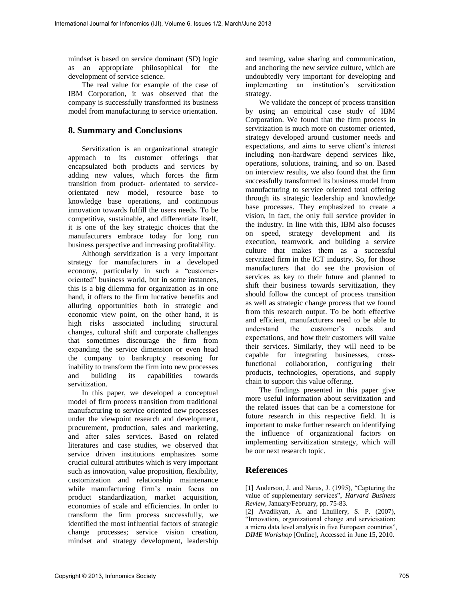mindset is based on service dominant (SD) logic as an appropriate philosophical for the development of service science.

The real value for example of the case of IBM Corporation, it was observed that the company is successfully transformed its business model from manufacturing to service orientation.

### **8. Summary and Conclusions**

Servitization is an organizational strategic approach to its customer offerings that encapsulated both products and services by adding new values, which forces the firm transition from product- orientated to serviceorientated new model, resource base to knowledge base operations, and continuous innovation towards fulfill the users needs. To be competitive, sustainable, and differentiate itself, it is one of the key strategic choices that the manufacturers embrace today for long run business perspective and increasing profitability.

Although servitization is a very important strategy for manufacturers in a developed economy, particularly in such a "customeroriented" business world, but in some instances, this is a big dilemma for organization as in one hand, it offers to the firm lucrative benefits and alluring opportunities both in strategic and economic view point, on the other hand, it is high risks associated including structural changes, cultural shift and corporate challenges that sometimes discourage the firm from expanding the service dimension or even head the company to bankruptcy reasoning for inability to transform the firm into new processes and building its capabilities towards servitization.

In this paper, we developed a conceptual model of firm process transition from traditional manufacturing to service oriented new processes under the viewpoint research and development, procurement, production, sales and marketing, and after sales services. Based on related literatures and case studies, we observed that service driven institutions emphasizes some crucial cultural attributes which is very important such as innovation, value proposition, flexibility, customization and relationship maintenance while manufacturing firm's main focus on product standardization, market acquisition, economies of scale and efficiencies. In order to transform the firm process successfully, we identified the most influential factors of strategic change processes; service vision creation, mindset and strategy development, leadership

and teaming, value sharing and communication, and anchoring the new service culture, which are undoubtedly very important for developing and implementing an institution's servitization strategy.

We validate the concept of process transition by using an empirical case study of IBM Corporation. We found that the firm process in servitization is much more on customer oriented, strategy developed around customer needs and expectations, and aims to serve client's interest including non-hardware depend services like, operations, solutions, training, and so on. Based on interview results, we also found that the firm successfully transformed its business model from manufacturing to service oriented total offering through its strategic leadership and knowledge base processes. They emphasized to create a vision, in fact, the only full service provider in the industry. In line with this, IBM also focuses on speed, strategy development and its execution, teamwork, and building a service culture that makes them as a successful servitized firm in the ICT industry. So, for those manufacturers that do see the provision of services as key to their future and planned to shift their business towards servitization, they should follow the concept of process transition as well as strategic change process that we found from this research output. To be both effective and efficient, manufacturers need to be able to understand the customer's needs and expectations, and how their customers will value their services. Similarly, they will need to be capable for integrating businesses, crossfunctional collaboration, configuring their products, technologies, operations, and supply chain to support this value offering.

The findings presented in this paper give more useful information about servitization and the related issues that can be a cornerstone for future research in this respective field. It is important to make further research on identifying the influence of organizational factors on implementing servitization strategy, which will be our next research topic.

### **References**

[1] Anderson, J. and Narus, J. (1995), "Capturing the value of supplementary services", *Harvard Business Review*, January/February, pp. 75-83.

[2] Avadikyan, A. and Lhuillery, S. P. (2007), "Innovation, organizational change and servicisation: a micro data level analysis in five European countries", *DIME Workshop* [Online], Accessed in June 15, 2010.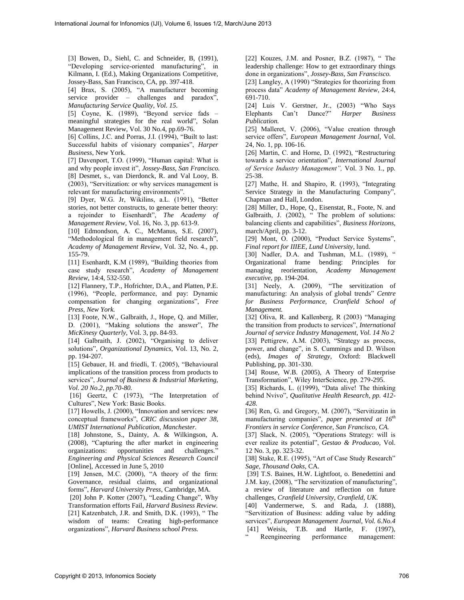[3] Bowen, D., Siehl, C. and Schneider, B, (1991), "Developing service-oriented manufacturing", in Kilmann, I. (Ed.), Making Organizations Competitive, Jossey-Bass, San Francisco, CA, pp. 397-418.

[4] Brax, S. (2005), "A manufacturer becoming service provider – challenges and paradox", *Manufacturing Service Quality, Vol. 15.* 

[5] Coyne, K. (1989), "Beyond service fads – meaningful strategies for the real world", Solan Management Review, Vol. 30 No.4, pp.69-76.

[6] Collins, J.C. and Porras, J.I. (1994), "Built to last: Successful habits of visionary companies", *Harper Business*, New York.

[7] Davenport, T.O. (1999), "Human capital: What is and why people invest it", *Jossey-Bass, San Francisco.*  [8] Desmet, s., van Dierdonck, R. and Val Looy, B. (2003), "Servitization: or why services management is relevant for manufacturing environments".

[9] Dyer, W.G. Jr, Wikilins, a.L. (1991), "Better stories, not better constructs, to generate better theory: a rejoinder to Eisenhardt", *The Academy of Management Review*, Vol. 16, No. 3, pp. 613-9.

[10] Edmondson, A. C., McManus, S.E. (2007), "Methodological fit in management field research", *Academy of Management Review*, Vol. 32, No. 4., pp. 155-79.

[11] Esenhardt, K.M (1989), "Building theories from case study research", *Academy of Management Review*, 14:4, 532-550.

[12] Flannery, T.P., Hofrichter, D.A., and Platten, P.E. (1996), "People, performance, and pay: Dynamic compensation for changing organizations", *Free Press, New York.* 

[13] Foote, N.W., Galbraith, J., Hope, Q. and Miller, D. (2001), "Making solutions the answer", *The MicKinesy Quarterly*, Vol. 3, pp. 84-93.

[14] Galbraith, J. (2002), "Organising to deliver solutions", *Organizational Dynamics*, Vol. 13, No. 2, pp. 194-207.

[15] Gebauer, H. and friedli, T. (2005), "Behavioural implications of the transition process from products to services", *Journal of Business & Industrial Marketing, Vol. 20 No.2, pp.70-80.* 

[16] Geertz, C (1973), "The Interpretation of Cultures", New York: Basic Books.

[17] Howells, J. (2000), "Innovation and services: new conceptual frameworks", *CRIC discussion paper 38, UMIST International Publication, Manchester.* 

[18] Johnstone, S., Dainty, A. & Wilkingson, A. (2008), "Capturing the after market in engineering organizations: opportunities and challenges." *Engineering and Physical Sciences Research Council*  [Online], Accessed in June 5, 2010

[19] Jensen, M.C.  $(2000)$ , "A theory of the firm: Governance, residual claims, and organizational forms", *Harvard University Press*, Cambridge, MA.

[20] John P. Kotter (2007), "Leading Change", Why Transformation efforts Fail, *Harvard Business Review.*  [21] Katzenbatch, J.R. and Smith, D.K. (1993), "The wisdom of teams: Creating high-performance organizations", *Harvard Business school Press.* 

[22] Kouzes, J.M. and Posner, B.Z. (1987), "The leadership challenge: How to get extraordinary things done in organizations", *Jossey-Bass, San Franscisco.*  [23] Langley, A (1990) "Strategies for theorizing from process data" *Academy of Management Review*, 24:4, 691-710.

[24] Luis V. Gerstner, Jr., (2003) "Who Says Elephants Can't Dance?" *Harper Business Publication.* 

[25] Malleret, V. (2006), "Value creation through service offers", *European Management Journal*, Vol. 24, No. 1, pp. 106-16.

[26] Martin, C. and Horne, D. (1992), "Restructuring towards a service orientation", *International Journal of Service Industry Management",* Vol. 3 No. 1., pp. 25-38.

[27] Mathe, H. and Shapiro, R. (1993), "Integrating Service Strategy in the Manufacturing Company", Chapman and Hall, London.

[28] Miller, D., Hope, Q., Eisenstat, R., Foote, N. and Galbraith, J.  $(2002)$ , "The problem of solutions: balancing clients and capabilities", *Business Horizons*, march/April, pp. 3-12.

[29] Mont, O. (2000), "Product Service Systems", *Final report for IIIEE, Lund University*, lund.

[30] Nadler, D.A. and Tushman, M.L. (1989), " Organizational frame bending: Principles for managing reorientation, *Academy Management executive*, pp. 194-204.

[31] Neely, A. (2009), "The servitization of manufacturing: An analysis of global trends" *Centre for Business Performance, Cranfield School of Management.*

[32] Oliva, R. and Kallenberg, R (2003) "Managing the transition from products to services", *International Journal of service Industry Management, Vol. 14 No 2*  [33] Pettigrew, A.M. (2003), "Strategy as process, power, and change", in S. Cummings and D. Wilson (eds), *Images of Strategy*, Oxford: Blackwell Publishing, pp. 301-330.

[34] Rouse, W.B. (2005), A Theory of Enterprise Transformation", Wiley InterScience, pp. 279-295.

[35] Richards, L. ((1999), "Data alive! The thinking behind Nvivo", *Qualitative Health Research, pp. 412- 428.* 

[36] Ren, G. and Gregory, M. (2007), "Servitizatin in manufacturing companies", *paper presented at 16th Frontiers in service Conference, San Francisco, CA.* 

[37] Slack, N. (2005), "Operations Strategy: will is ever realize its potential", *Gestao & Producao,* Vol. 12 No. 3, pp. 323-32.

[38] Stake, R.E. (1995), "Art of Case Study Research" *Sage, Thousand Oaks*, CA.

[39] T.S. Baines, H.W. Lightfoot, o. Benedettini and J.M. kay, (2008), "The servitization of manufacturing", a review of literature and reflection on future challenges, *Cranfield University, Cranfield, UK.*

[40] Vandermerwe, S. and Rada, J. (1888), "Servitization of Business: adding value by adding services", *European Management Journal, Vol. 6.No.4*  [41] Weisis, T.B. and Hartle, F. (1997),

Reengineering performance management: